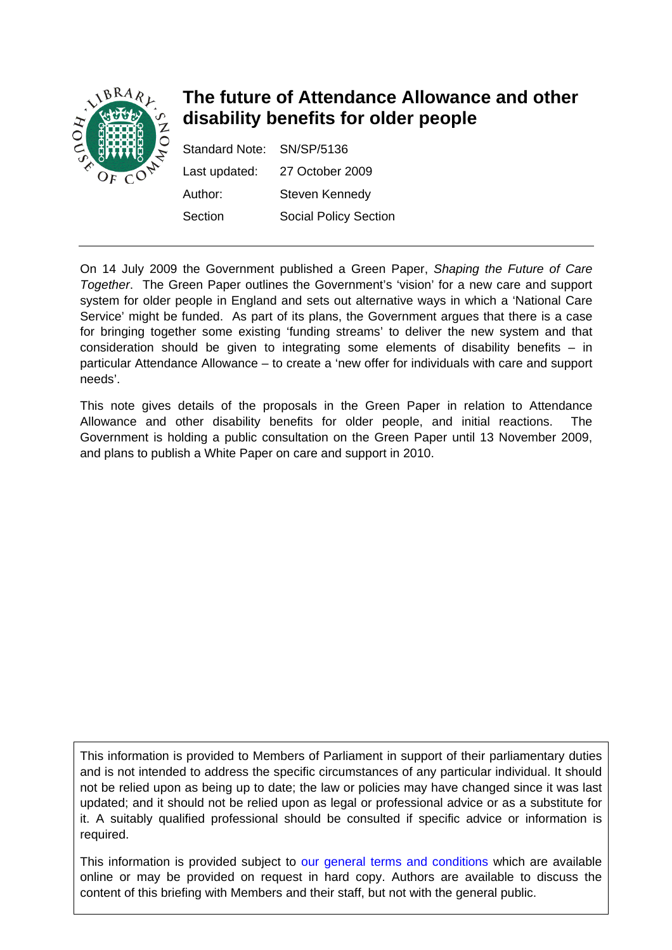

# **The future of Attendance Allowance and other disability benefits for older people**

Standard Note: SN/SP/5136 Last updated: 27 October 2009 Author: Steven Kennedy Section Social Policy Section

On 14 July 2009 the Government published a Green Paper, *Shaping the Future of Care Together*. The Green Paper outlines the Government's 'vision' for a new care and support system for older people in England and sets out alternative ways in which a 'National Care Service' might be funded. As part of its plans, the Government argues that there is a case for bringing together some existing 'funding streams' to deliver the new system and that consideration should be given to integrating some elements of disability benefits – in particular Attendance Allowance – to create a 'new offer for individuals with care and support needs'.

This note gives details of the proposals in the Green Paper in relation to Attendance Allowance and other disability benefits for older people, and initial reactions. The Government is holding a public consultation on the Green Paper until 13 November 2009, and plans to publish a White Paper on care and support in 2010.

This information is provided to Members of Parliament in support of their parliamentary duties and is not intended to address the specific circumstances of any particular individual. It should not be relied upon as being up to date; the law or policies may have changed since it was last updated; and it should not be relied upon as legal or professional advice or as a substitute for it. A suitably qualified professional should be consulted if specific advice or information is required.

This information is provided subject to [our general terms and conditions](http://www.parliament.uk/site_information/parliamentary_copyright.cfm) which are available online or may be provided on request in hard copy. Authors are available to discuss the content of this briefing with Members and their staff, but not with the general public.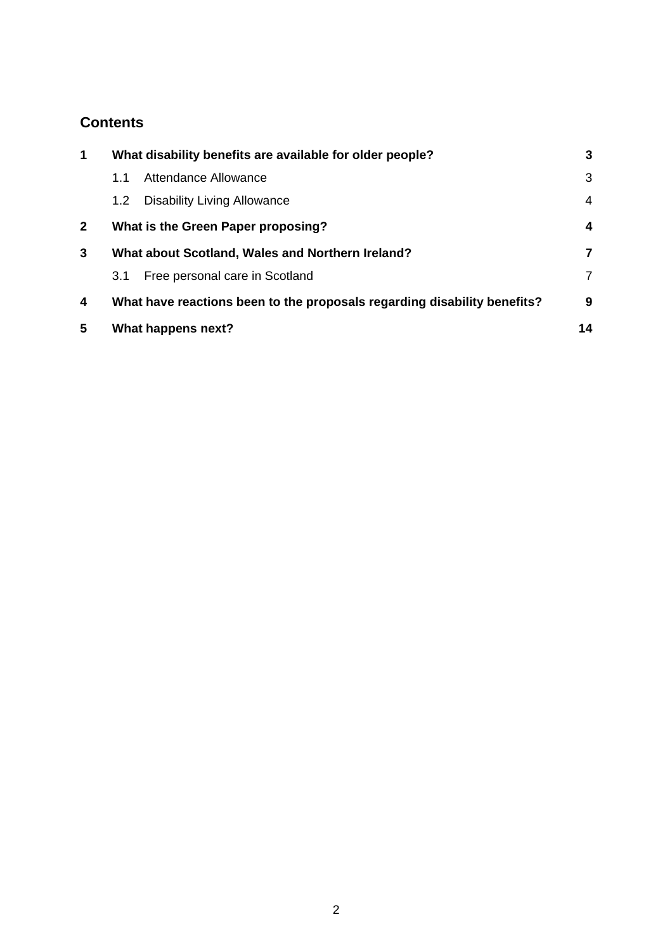# **Contents**

| $\mathbf 1$  | What disability benefits are available for older people?                 |                                                  | 3  |
|--------------|--------------------------------------------------------------------------|--------------------------------------------------|----|
|              | 1.1                                                                      | Attendance Allowance                             | 3  |
|              | 1.2 <sub>2</sub>                                                         | <b>Disability Living Allowance</b>               | 4  |
| $\mathbf{2}$ | What is the Green Paper proposing?                                       |                                                  | 4  |
| 3            |                                                                          | What about Scotland, Wales and Northern Ireland? | 7  |
|              | 3.1                                                                      | Free personal care in Scotland                   | 7  |
| 4            | What have reactions been to the proposals regarding disability benefits? |                                                  | 9  |
| 5            |                                                                          | What happens next?                               | 14 |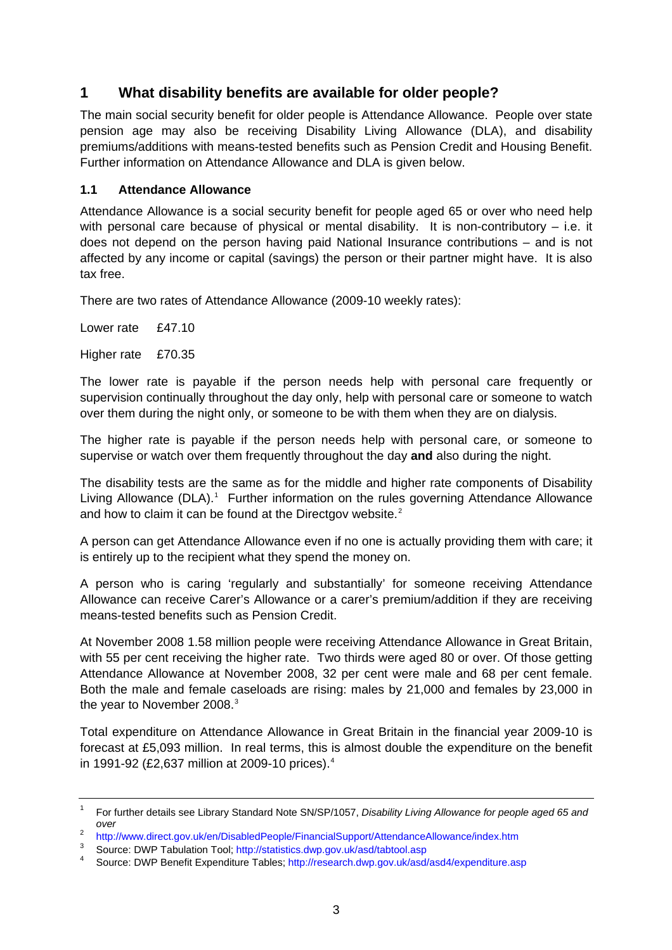# <span id="page-2-0"></span>**1 What disability benefits are available for older people?**

The main social security benefit for older people is Attendance Allowance. People over state pension age may also be receiving Disability Living Allowance (DLA), and disability premiums/additions with means-tested benefits such as Pension Credit and Housing Benefit. Further information on Attendance Allowance and DLA is given below.

### **1.1 Attendance Allowance**

Attendance Allowance is a social security benefit for people aged 65 or over who need help with personal care because of physical or mental disability. It is non-contributory – i.e. it does not depend on the person having paid National Insurance contributions – and is not affected by any income or capital (savings) the person or their partner might have. It is also tax free.

There are two rates of Attendance Allowance (2009-10 weekly rates):

Lower rate £47.10

Higher rate £70.35

The lower rate is payable if the person needs help with personal care frequently or supervision continually throughout the day only, help with personal care or someone to watch over them during the night only, or someone to be with them when they are on dialysis.

The higher rate is payable if the person needs help with personal care, or someone to supervise or watch over them frequently throughout the day **and** also during the night.

The disability tests are the same as for the middle and higher rate components of Disability Living Allowance (DLA).<sup>[1](#page-2-1)</sup> Further information on the rules governing Attendance Allowance and how to claim it can be found at the Directgov website.<sup>[2](#page-2-2)</sup>

A person can get Attendance Allowance even if no one is actually providing them with care; it is entirely up to the recipient what they spend the money on.

A person who is caring 'regularly and substantially' for someone receiving Attendance Allowance can receive Carer's Allowance or a carer's premium/addition if they are receiving means-tested benefits such as Pension Credit.

At November 2008 1.58 million people were receiving Attendance Allowance in Great Britain, with 55 per cent receiving the higher rate. Two thirds were aged 80 or over. Of those getting Attendance Allowance at November 2008, 32 per cent were male and 68 per cent female. Both the male and female caseloads are rising: males by 21,000 and females by 23,000 in the year to November 2008.<sup>[3](#page-2-3)</sup>

Total expenditure on Attendance Allowance in Great Britain in the financial year 2009-10 is forecast at £5,093 million. In real terms, this is almost double the expenditure on the benefit in 1991-92 (£2,637 million at 2009-10 prices).[4](#page-2-4)

<span id="page-2-1"></span><sup>1</sup> For further details see Library Standard Note SN/SP/1057, *Disability Living Allowance for people aged 65 and over*

<span id="page-2-2"></span> $\overline{2}$ <sup>2</sup> <http://www.direct.gov.uk/en/DisabledPeople/FinancialSupport/AttendanceAllowance/index.htm><br><sup>3</sup> Seureau DMD Tabulation Teolu http://atatiotics.durp.gov.uk/eed/tebteel.eep

<span id="page-2-3"></span><sup>&</sup>lt;sup>3</sup> Source: DWP Tabulation Tool;<http://statistics.dwp.gov.uk/asd/tabtool.asp>4<br>4 Source: DWP Bonofit Exponditure Tables: http://research.dup.gov.uk/eed

<span id="page-2-4"></span>Source: DWP Benefit Expenditure Tables;<http://research.dwp.gov.uk/asd/asd4/expenditure.asp>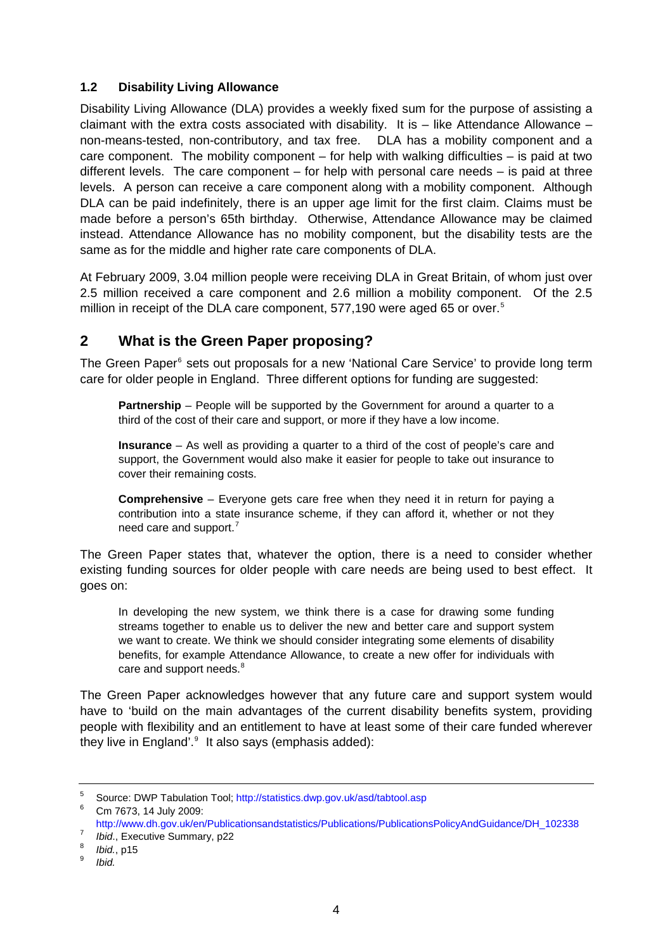### <span id="page-3-0"></span>**1.2 Disability Living Allowance**

Disability Living Allowance (DLA) provides a weekly fixed sum for the purpose of assisting a claimant with the extra costs associated with disability. It is  $-$  like Attendance Allowance  $$ non-means-tested, non-contributory, and tax free. DLA has a mobility component and a care component. The mobility component – for help with walking difficulties – is paid at two different levels. The care component – for help with personal care needs – is paid at three levels. A person can receive a care component along with a mobility component. Although DLA can be paid indefinitely, there is an upper age limit for the first claim. Claims must be made before a person's 65th birthday. Otherwise, Attendance Allowance may be claimed instead. Attendance Allowance has no mobility component, but the disability tests are the same as for the middle and higher rate care components of DLA.

At February 2009, 3.04 million people were receiving DLA in Great Britain, of whom just over 2.5 million received a care component and 2.6 million a mobility component. Of the 2.5 million in receipt of the DLA care component, [5](#page-3-1)77,190 were aged 65 or over.<sup>5</sup>

# **2 What is the Green Paper proposing?**

The Green Paper<sup>[6](#page-3-2)</sup> sets out proposals for a new 'National Care Service' to provide long term care for older people in England. Three different options for funding are suggested:

**Partnership** – People will be supported by the Government for around a quarter to a third of the cost of their care and support, or more if they have a low income.

**Insurance** – As well as providing a quarter to a third of the cost of people's care and support, the Government would also make it easier for people to take out insurance to cover their remaining costs.

**Comprehensive** – Everyone gets care free when they need it in return for paying a contribution into a state insurance scheme, if they can afford it, whether or not they need care and support.<sup>[7](#page-3-3)</sup>

The Green Paper states that, whatever the option, there is a need to consider whether existing funding sources for older people with care needs are being used to best effect. It goes on:

In developing the new system, we think there is a case for drawing some funding streams together to enable us to deliver the new and better care and support system we want to create. We think we should consider integrating some elements of disability benefits, for example Attendance Allowance, to create a new offer for individuals with care and support needs.<sup>[8](#page-3-4)</sup>

The Green Paper acknowledges however that any future care and support system would have to 'build on the main advantages of the current disability benefits system, providing people with flexibility and an entitlement to have at least some of their care funded wherever they live in England'.<sup>[9](#page-3-5)</sup> It also says (emphasis added):

<span id="page-3-1"></span><sup>5</sup> Source: DWP Tabulation Tool;<http://statistics.dwp.gov.uk/asd/tabtool.asp> 6

<span id="page-3-2"></span>Cm 7673, 14 July 2009:

http://www.dh.gov.uk/en/Publicationsandstatistics/Publications/PublicationsPolicyAndGuidance/DH\_102338

<span id="page-3-3"></span> $\frac{7}{8}$  *Ibid.*, Executive Summary, p22

<span id="page-3-4"></span> $\frac{8}{9}$  *Ibid.*, p15

<span id="page-3-5"></span>*Ibid.*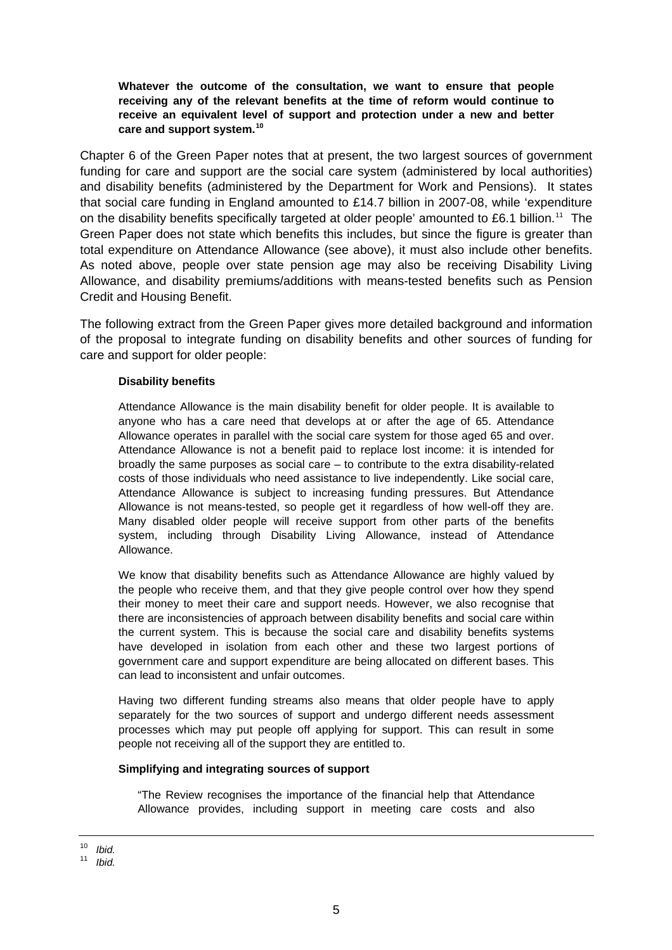**Whatever the outcome of the consultation, we want to ensure that people receiving any of the relevant benefits at the time of reform would continue to receive an equivalent level of support and protection under a new and better care and support system.[10](#page-4-0)**

Chapter 6 of the Green Paper notes that at present, the two largest sources of government funding for care and support are the social care system (administered by local authorities) and disability benefits (administered by the Department for Work and Pensions). It states that social care funding in England amounted to £14.7 billion in 2007-08, while 'expenditure on the disability benefits specifically targeted at older people' amounted to £6.1 billion.<sup>[11](#page-4-1)</sup> The Green Paper does not state which benefits this includes, but since the figure is greater than total expenditure on Attendance Allowance (see above), it must also include other benefits. As noted above, people over state pension age may also be receiving Disability Living Allowance, and disability premiums/additions with means-tested benefits such as Pension Credit and Housing Benefit.

The following extract from the Green Paper gives more detailed background and information of the proposal to integrate funding on disability benefits and other sources of funding for care and support for older people:

#### **Disability benefits**

Attendance Allowance is the main disability benefit for older people. It is available to anyone who has a care need that develops at or after the age of 65. Attendance Allowance operates in parallel with the social care system for those aged 65 and over. Attendance Allowance is not a benefit paid to replace lost income: it is intended for broadly the same purposes as social care – to contribute to the extra disability-related costs of those individuals who need assistance to live independently. Like social care, Attendance Allowance is subject to increasing funding pressures. But Attendance Allowance is not means-tested, so people get it regardless of how well-off they are. Many disabled older people will receive support from other parts of the benefits system, including through Disability Living Allowance, instead of Attendance Allowance.

We know that disability benefits such as Attendance Allowance are highly valued by the people who receive them, and that they give people control over how they spend their money to meet their care and support needs. However, we also recognise that there are inconsistencies of approach between disability benefits and social care within the current system. This is because the social care and disability benefits systems have developed in isolation from each other and these two largest portions of government care and support expenditure are being allocated on different bases. This can lead to inconsistent and unfair outcomes.

Having two different funding streams also means that older people have to apply separately for the two sources of support and undergo different needs assessment processes which may put people off applying for support. This can result in some people not receiving all of the support they are entitled to.

#### **Simplifying and integrating sources of support**

"The Review recognises the importance of the financial help that Attendance Allowance provides, including support in meeting care costs and also

<sup>10</sup> *Ibid.*

<span id="page-4-1"></span><span id="page-4-0"></span><sup>11</sup> *Ibid.*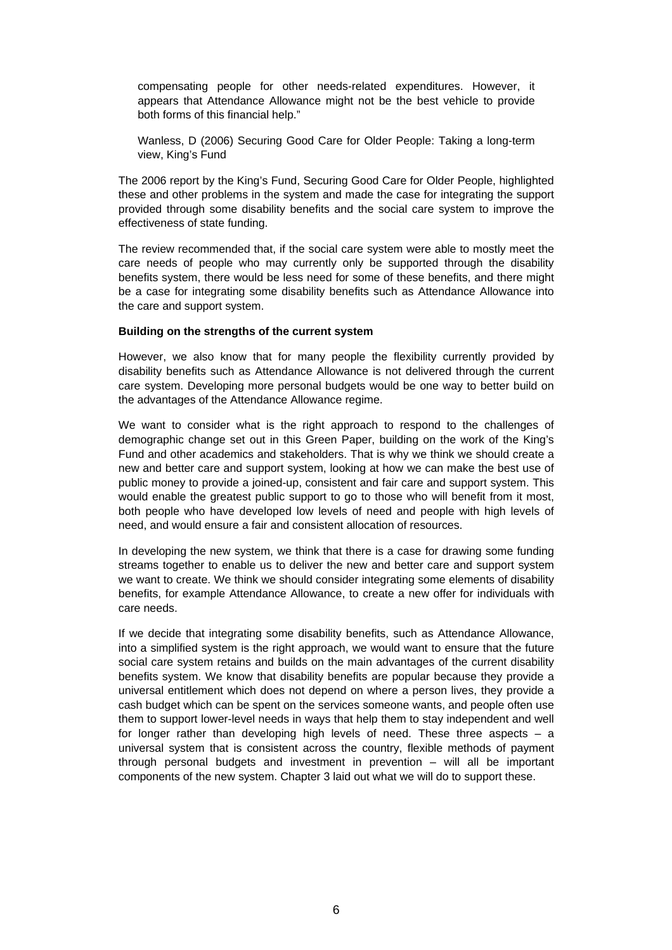compensating people for other needs-related expenditures. However, it appears that Attendance Allowance might not be the best vehicle to provide both forms of this financial help."

Wanless, D (2006) Securing Good Care for Older People: Taking a long-term view, King's Fund

The 2006 report by the King's Fund, Securing Good Care for Older People, highlighted these and other problems in the system and made the case for integrating the support provided through some disability benefits and the social care system to improve the effectiveness of state funding.

The review recommended that, if the social care system were able to mostly meet the care needs of people who may currently only be supported through the disability benefits system, there would be less need for some of these benefits, and there might be a case for integrating some disability benefits such as Attendance Allowance into the care and support system.

#### **Building on the strengths of the current system**

However, we also know that for many people the flexibility currently provided by disability benefits such as Attendance Allowance is not delivered through the current care system. Developing more personal budgets would be one way to better build on the advantages of the Attendance Allowance regime.

We want to consider what is the right approach to respond to the challenges of demographic change set out in this Green Paper, building on the work of the King's Fund and other academics and stakeholders. That is why we think we should create a new and better care and support system, looking at how we can make the best use of public money to provide a joined-up, consistent and fair care and support system. This would enable the greatest public support to go to those who will benefit from it most, both people who have developed low levels of need and people with high levels of need, and would ensure a fair and consistent allocation of resources.

In developing the new system, we think that there is a case for drawing some funding streams together to enable us to deliver the new and better care and support system we want to create. We think we should consider integrating some elements of disability benefits, for example Attendance Allowance, to create a new offer for individuals with care needs.

If we decide that integrating some disability benefits, such as Attendance Allowance, into a simplified system is the right approach, we would want to ensure that the future social care system retains and builds on the main advantages of the current disability benefits system. We know that disability benefits are popular because they provide a universal entitlement which does not depend on where a person lives, they provide a cash budget which can be spent on the services someone wants, and people often use them to support lower-level needs in ways that help them to stay independent and well for longer rather than developing high levels of need. These three aspects  $-$  a universal system that is consistent across the country, flexible methods of payment through personal budgets and investment in prevention – will all be important components of the new system. Chapter 3 laid out what we will do to support these.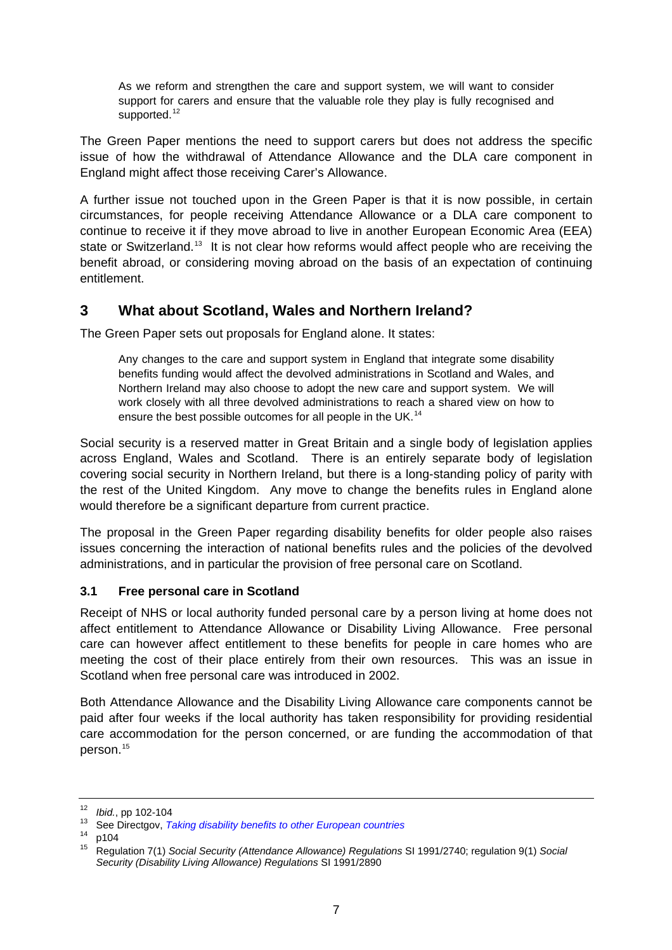<span id="page-6-0"></span>As we reform and strengthen the care and support system, we will want to consider support for carers and ensure that the valuable role they play is fully recognised and supported.<sup>[12](#page-6-1)</sup>

The Green Paper mentions the need to support carers but does not address the specific issue of how the withdrawal of Attendance Allowance and the DLA care component in England might affect those receiving Carer's Allowance.

A further issue not touched upon in the Green Paper is that it is now possible, in certain circumstances, for people receiving Attendance Allowance or a DLA care component to continue to receive it if they move abroad to live in another European Economic Area (EEA) state or Switzerland.<sup>[13](#page-6-2)</sup> It is not clear how reforms would affect people who are receiving the benefit abroad, or considering moving abroad on the basis of an expectation of continuing entitlement.

## **3 What about Scotland, Wales and Northern Ireland?**

The Green Paper sets out proposals for England alone. It states:

Any changes to the care and support system in England that integrate some disability benefits funding would affect the devolved administrations in Scotland and Wales, and Northern Ireland may also choose to adopt the new care and support system. We will work closely with all three devolved administrations to reach a shared view on how to ensure the best possible outcomes for all people in the UK.<sup>[14](#page-6-3)</sup>

Social security is a reserved matter in Great Britain and a single body of legislation applies across England, Wales and Scotland. There is an entirely separate body of legislation covering social security in Northern Ireland, but there is a long-standing policy of parity with the rest of the United Kingdom. Any move to change the benefits rules in England alone would therefore be a significant departure from current practice.

The proposal in the Green Paper regarding disability benefits for older people also raises issues concerning the interaction of national benefits rules and the policies of the devolved administrations, and in particular the provision of free personal care on Scotland.

### **3.1 Free personal care in Scotland**

Receipt of NHS or local authority funded personal care by a person living at home does not affect entitlement to Attendance Allowance or Disability Living Allowance. Free personal care can however affect entitlement to these benefits for people in care homes who are meeting the cost of their place entirely from their own resources. This was an issue in Scotland when free personal care was introduced in 2002.

Both Attendance Allowance and the Disability Living Allowance care components cannot be paid after four weeks if the local authority has taken responsibility for providing residential care accommodation for the person concerned, or are funding the accommodation of that person.<sup>[15](#page-6-4)</sup>

<span id="page-6-2"></span><span id="page-6-1"></span><sup>&</sup>lt;sup>12</sup>*Ibid.*, pp 102-104<br><sup>13</sup> See Directgov, *[Taking disability benefits to other European countries](http://www.direct.gov.uk/en/DisabledPeople/FinancialSupport/Introductiontofinancialsupport/DG_073387)* 

<span id="page-6-4"></span><span id="page-6-3"></span> $14$  p104<br> $15$  Pegu

<sup>15</sup> Regulation 7(1) *Social Security (Attendance Allowance) Regulations* SI 1991/2740; regulation 9(1) *Social Security (Disability Living Allowance) Regulations* SI 1991/2890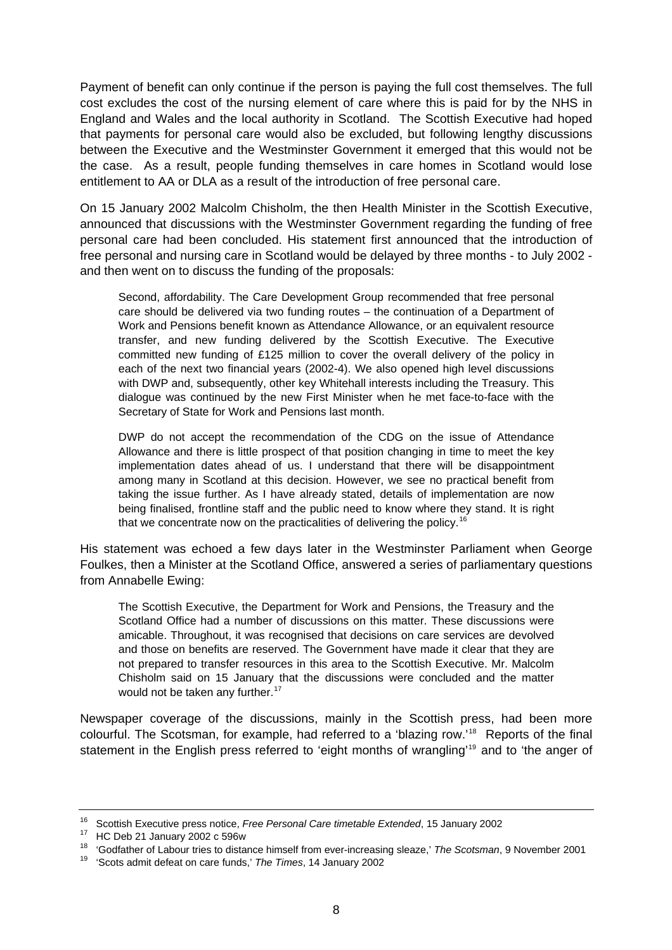Payment of benefit can only continue if the person is paying the full cost themselves. The full cost excludes the cost of the nursing element of care where this is paid for by the NHS in England and Wales and the local authority in Scotland. The Scottish Executive had hoped that payments for personal care would also be excluded, but following lengthy discussions between the Executive and the Westminster Government it emerged that this would not be the case. As a result, people funding themselves in care homes in Scotland would lose entitlement to AA or DLA as a result of the introduction of free personal care.

On 15 January 2002 Malcolm Chisholm, the then Health Minister in the Scottish Executive, announced that discussions with the Westminster Government regarding the funding of free personal care had been concluded. His statement first announced that the introduction of free personal and nursing care in Scotland would be delayed by three months - to July 2002 and then went on to discuss the funding of the proposals:

Second, affordability. The Care Development Group recommended that free personal care should be delivered via two funding routes – the continuation of a Department of Work and Pensions benefit known as Attendance Allowance, or an equivalent resource transfer, and new funding delivered by the Scottish Executive. The Executive committed new funding of £125 million to cover the overall delivery of the policy in each of the next two financial years (2002-4). We also opened high level discussions with DWP and, subsequently, other key Whitehall interests including the Treasury. This dialogue was continued by the new First Minister when he met face-to-face with the Secretary of State for Work and Pensions last month.

DWP do not accept the recommendation of the CDG on the issue of Attendance Allowance and there is little prospect of that position changing in time to meet the key implementation dates ahead of us. I understand that there will be disappointment among many in Scotland at this decision. However, we see no practical benefit from taking the issue further. As I have already stated, details of implementation are now being finalised, frontline staff and the public need to know where they stand. It is right that we concentrate now on the practicalities of delivering the policy.<sup>[16](#page-7-0)</sup>

His statement was echoed a few days later in the Westminster Parliament when George Foulkes, then a Minister at the Scotland Office, answered a series of parliamentary questions from Annabelle Ewing:

The Scottish Executive, the Department for Work and Pensions, the Treasury and the Scotland Office had a number of discussions on this matter. These discussions were amicable. Throughout, it was recognised that decisions on care services are devolved and those on benefits are reserved. The Government have made it clear that they are not prepared to transfer resources in this area to the Scottish Executive. Mr. Malcolm Chisholm said on 15 January that the discussions were concluded and the matter would not be taken any further.<sup>[17](#page-7-1)</sup>

Newspaper coverage of the discussions, mainly in the Scottish press, had been more colourful. The Scotsman, for example, had referred to a 'blazing row.'[18](#page-7-2) Reports of the final statement in the English press referred to 'eight months of wrangling'<sup>[19](#page-7-3)</sup> and to 'the anger of

<span id="page-7-0"></span><sup>&</sup>lt;sup>16</sup> Scottish Executive press notice, *Free Personal Care timetable Extended*, 15 January 2002<br><sup>17</sup> HC Deb 21 January 2002 c 596w

<span id="page-7-2"></span><span id="page-7-1"></span><sup>18 &#</sup>x27;Godfather of Labour tries to distance himself from ever-increasing sleaze,' *The Scotsman*, 9 November 2001 19 'Scots admit defeat on care funds,' *The Times*, 14 January 2002

<span id="page-7-3"></span>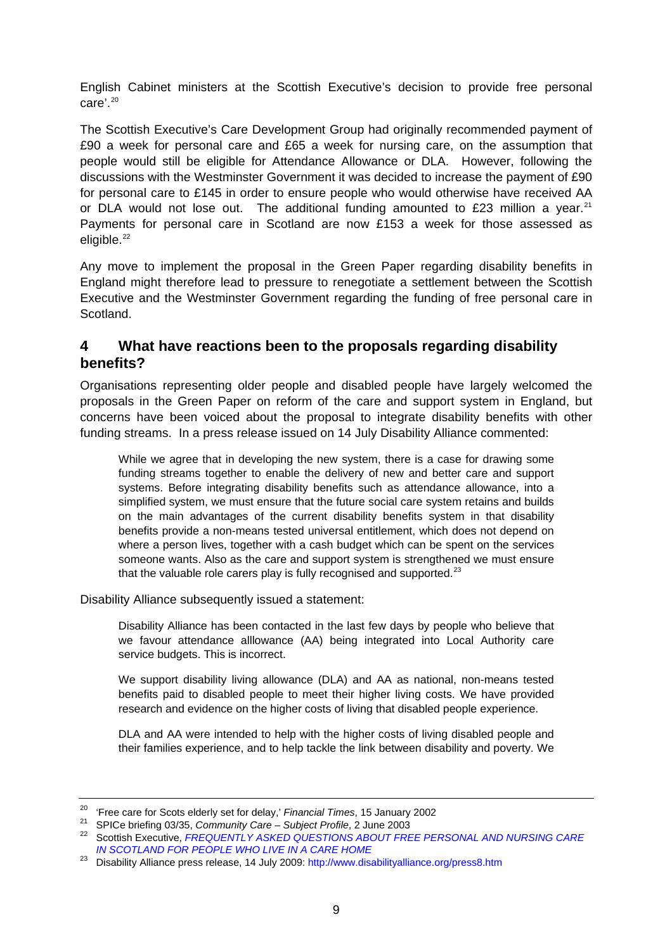<span id="page-8-0"></span>English Cabinet ministers at the Scottish Executive's decision to provide free personal  $care'$ <sup>[20](#page-8-1)</sup>

The Scottish Executive's Care Development Group had originally recommended payment of £90 a week for personal care and £65 a week for nursing care, on the assumption that people would still be eligible for Attendance Allowance or DLA. However, following the discussions with the Westminster Government it was decided to increase the payment of £90 for personal care to £145 in order to ensure people who would otherwise have received AA or DLA would not lose out. The additional funding amounted to £23 million a year.<sup>[21](#page-8-2)</sup> Payments for personal care in Scotland are now £153 a week for those assessed as eligible.<sup>[22](#page-8-3)</sup>

Any move to implement the proposal in the Green Paper regarding disability benefits in England might therefore lead to pressure to renegotiate a settlement between the Scottish Executive and the Westminster Government regarding the funding of free personal care in Scotland.

### **4 What have reactions been to the proposals regarding disability benefits?**

Organisations representing older people and disabled people have largely welcomed the proposals in the Green Paper on reform of the care and support system in England, but concerns have been voiced about the proposal to integrate disability benefits with other funding streams. In a press release issued on 14 July Disability Alliance commented:

While we agree that in developing the new system, there is a case for drawing some funding streams together to enable the delivery of new and better care and support systems. Before integrating disability benefits such as attendance allowance, into a simplified system, we must ensure that the future social care system retains and builds on the main advantages of the current disability benefits system in that disability benefits provide a non-means tested universal entitlement, which does not depend on where a person lives, together with a cash budget which can be spent on the services someone wants. Also as the care and support system is strengthened we must ensure that the valuable role carers play is fully recognised and supported. $^{23}$  $^{23}$  $^{23}$ 

Disability Alliance subsequently issued a statement:

Disability Alliance has been contacted in the last few days by people who believe that we favour attendance alllowance (AA) being integrated into Local Authority care service budgets. This is incorrect.

We support disability living allowance (DLA) and AA as national, non-means tested benefits paid to disabled people to meet their higher living costs. We have provided research and evidence on the higher costs of living that disabled people experience.

DLA and AA were intended to help with the higher costs of living disabled people and their families experience, and to help tackle the link between disability and poverty. We

<span id="page-8-3"></span>

<span id="page-8-2"></span><span id="page-8-1"></span><sup>&</sup>lt;sup>20</sup> 'Free care for Scots elderly set for delay,' Financial Times, 15 January 2002<br><sup>21</sup> SPICe briefing 03/35, Community Care – Subject Profile, 2 June 2003<br><sup>22</sup> Scottish Executive, FREQUENTLY ASKED QUESTIONS ABOUT FREE PE *[IN SCOTLAND FOR PEOPLE WHO LIVE IN A CARE HOME](http://www.scotland.gov.uk/Topics/Health/care/17655/FAQs)*

<span id="page-8-4"></span><sup>&</sup>lt;sup>23</sup> Disability Alliance press release, 14 July 2009: http://www.disabilityalliance.org/press8.htm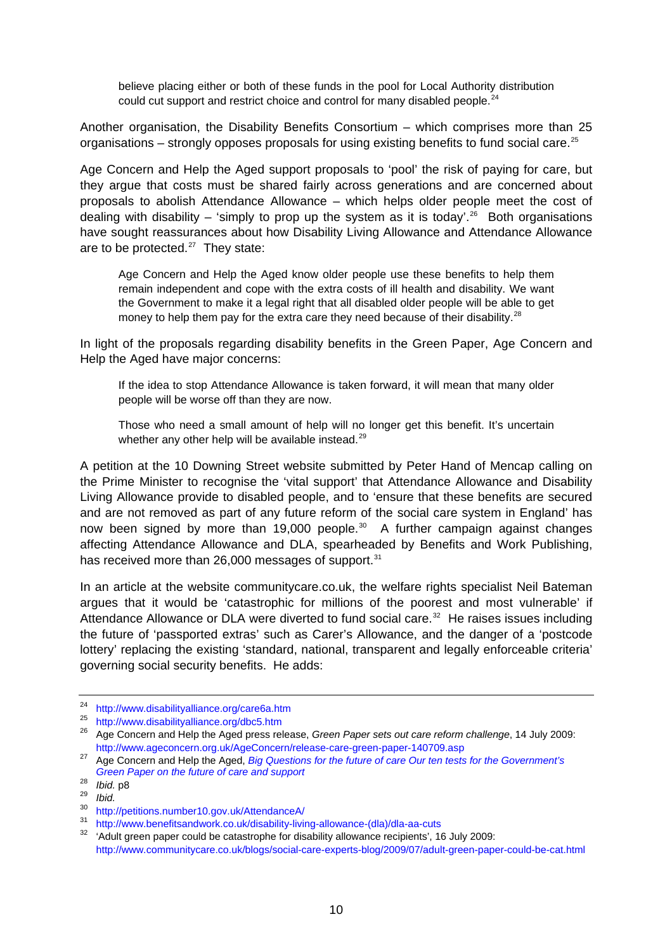believe placing either or both of these funds in the pool for Local Authority distribution could cut support and restrict choice and control for many disabled people.<sup>[24](#page-9-0)</sup>

Another organisation, the Disability Benefits Consortium – which comprises more than 25 organisations – strongly opposes proposals for using existing benefits to fund social care.<sup>[25](#page-9-1)</sup>

Age Concern and Help the Aged support proposals to 'pool' the risk of paying for care, but they argue that costs must be shared fairly across generations and are concerned about proposals to abolish Attendance Allowance – which helps older people meet the cost of dealing with disability – 'simply to prop up the system as it is today'.<sup>[26](#page-9-2)</sup> Both organisations have sought reassurances about how Disability Living Allowance and Attendance Allowance are to be protected. $27$  They state:

Age Concern and Help the Aged know older people use these benefits to help them remain independent and cope with the extra costs of ill health and disability. We want the Government to make it a legal right that all disabled older people will be able to get money to help them pay for the extra care they need because of their disability.<sup>[28](#page-9-4)</sup>

In light of the proposals regarding disability benefits in the Green Paper, Age Concern and Help the Aged have major concerns:

If the idea to stop Attendance Allowance is taken forward, it will mean that many older people will be worse off than they are now.

Those who need a small amount of help will no longer get this benefit. It's uncertain whether any other help will be available instead.<sup>[29](#page-9-5)</sup>

A petition at the 10 Downing Street website submitted by Peter Hand of Mencap calling on the Prime Minister to recognise the 'vital support' that Attendance Allowance and Disability Living Allowance provide to disabled people, and to 'ensure that these benefits are secured and are not removed as part of any future reform of the social care system in England' has now been signed by more than 19,000 people.<sup>[30](#page-9-6)</sup> A further campaign against changes affecting Attendance Allowance and DLA, spearheaded by Benefits and Work Publishing, has received more than 26,000 messages of support.<sup>[31](#page-9-7)</sup>

In an article at the website communitycare.co.uk, the welfare rights specialist Neil Bateman argues that it would be 'catastrophic for millions of the poorest and most vulnerable' if Attendance Allowance or DLA were diverted to fund social care.<sup>[32](#page-9-8)</sup> He raises issues including the future of 'passported extras' such as Carer's Allowance, and the danger of a 'postcode lottery' replacing the existing 'standard, national, transparent and legally enforceable criteria' governing social security benefits. He adds:

<span id="page-9-1"></span><span id="page-9-0"></span><sup>&</sup>lt;sup>24</sup> http://www.disabilityalliance.org/care6a.htm<br><sup>25</sup> http://www.disabilityalliance.org/dbc5.htm<br><sup>26</sup> Age Concern and Help the Aged press release, *Green Paper sets out care reform challenge*, 14 July 2009:

<span id="page-9-3"></span><span id="page-9-2"></span><http://www.ageconcern.org.uk/AgeConcern/release-care-green-paper-140709.asp> 27 Age Concern and Help the Aged, *[Big Questions for the future of care Our ten tests for the Government's](http://www.ageconcern.org.uk/AgeConcern/Documents/Big_Q_ten_tests_report_-_final.pdf)  [Green Paper on the future of care and support](http://www.ageconcern.org.uk/AgeConcern/Documents/Big_Q_ten_tests_report_-_final.pdf)*

<span id="page-9-5"></span><span id="page-9-4"></span><sup>28&</sup>lt;br> *Ibid.* p8<br>
29 *Ibid.*<br>
30 http://petitions.number10.gov.uk/AttendanceA/

<span id="page-9-8"></span>

<span id="page-9-7"></span><span id="page-9-6"></span><sup>&</sup>lt;sup>31</sup> http://www.benefitsandwork.co.uk/disability-living-allowance-(dla)/dla-aa-cuts<br><sup>32</sup> 'Adult green paper could be catastrophe for disability allowance recipients', 16 July 2009: <http://www.communitycare.co.uk/blogs/social-care-experts-blog/2009/07/adult-green-paper-could-be-cat.html>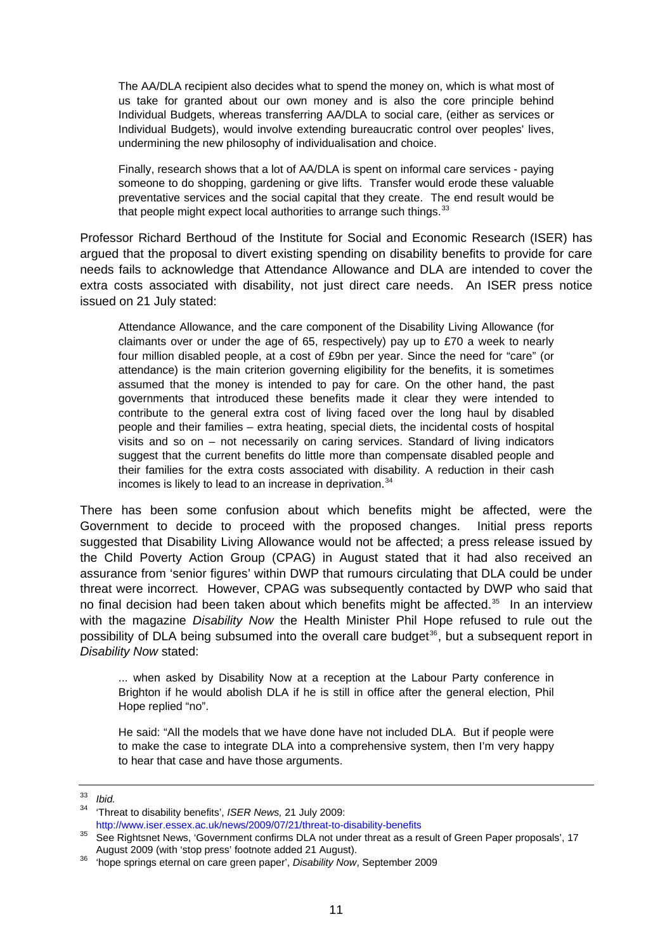The AA/DLA recipient also decides what to spend the money on, which is what most of us take for granted about our own money and is also the core principle behind Individual Budgets, whereas transferring AA/DLA to social care, (either as services or Individual Budgets), would involve extending bureaucratic control over peoples' lives, undermining the new philosophy of individualisation and choice.

Finally, research shows that a lot of AA/DLA is spent on informal care services - paying someone to do shopping, gardening or give lifts. Transfer would erode these valuable preventative services and the social capital that they create. The end result would be that people might expect local authorities to arrange such things.  $33$ 

Professor Richard Berthoud of the Institute for Social and Economic Research (ISER) has argued that the proposal to divert existing spending on disability benefits to provide for care needs fails to acknowledge that Attendance Allowance and DLA are intended to cover the extra costs associated with disability, not just direct care needs. An ISER press notice issued on 21 July stated:

Attendance Allowance, and the care component of the Disability Living Allowance (for claimants over or under the age of 65, respectively) pay up to £70 a week to nearly four million disabled people, at a cost of £9bn per year. Since the need for "care" (or attendance) is the main criterion governing eligibility for the benefits, it is sometimes assumed that the money is intended to pay for care. On the other hand, the past governments that introduced these benefits made it clear they were intended to contribute to the general extra cost of living faced over the long haul by disabled people and their families – extra heating, special diets, the incidental costs of hospital visits and so on – not necessarily on caring services. Standard of living indicators suggest that the current benefits do little more than compensate disabled people and their families for the extra costs associated with disability. A reduction in their cash incomes is likely to lead to an increase in deprivation. $34$ 

There has been some confusion about which benefits might be affected, were the Government to decide to proceed with the proposed changes. Initial press reports suggested that Disability Living Allowance would not be affected; a press release issued by the Child Poverty Action Group (CPAG) in August stated that it had also received an assurance from 'senior figures' within DWP that rumours circulating that DLA could be under threat were incorrect. However, CPAG was subsequently contacted by DWP who said that no final decision had been taken about which benefits might be affected.<sup>[35](#page-10-2)</sup> In an interview with the magazine *Disability Now* the Health Minister Phil Hope refused to rule out the possibility of DLA being subsumed into the overall care budget<sup>[36](#page-10-3)</sup>, but a subsequent report in *Disability Now* stated:

... when asked by Disability Now at a reception at the Labour Party conference in Brighton if he would abolish DLA if he is still in office after the general election, Phil Hope replied "no".

He said: "All the models that we have done have not included DLA. But if people were to make the case to integrate DLA into a comprehensive system, then I'm very happy to hear that case and have those arguments.

<span id="page-10-0"></span><sup>33</sup> *Ibid.*

<span id="page-10-1"></span><sup>34 &#</sup>x27;Threat to disability benefits', *ISER News,* 21 July 2009:

<span id="page-10-2"></span><http://www.iser.essex.ac.uk/news/2009/07/21/threat-to-disability-benefits><br>35 See Rightsnet News, 'Government confirms DLA not under threat as a result of Green Paper proposals', 17<br>August 2009 (with 'stop press' footnote a

<span id="page-10-3"></span><sup>&</sup>lt;sup>36</sup> 'hope springs eternal on care green paper', *Disability Now*, September 2009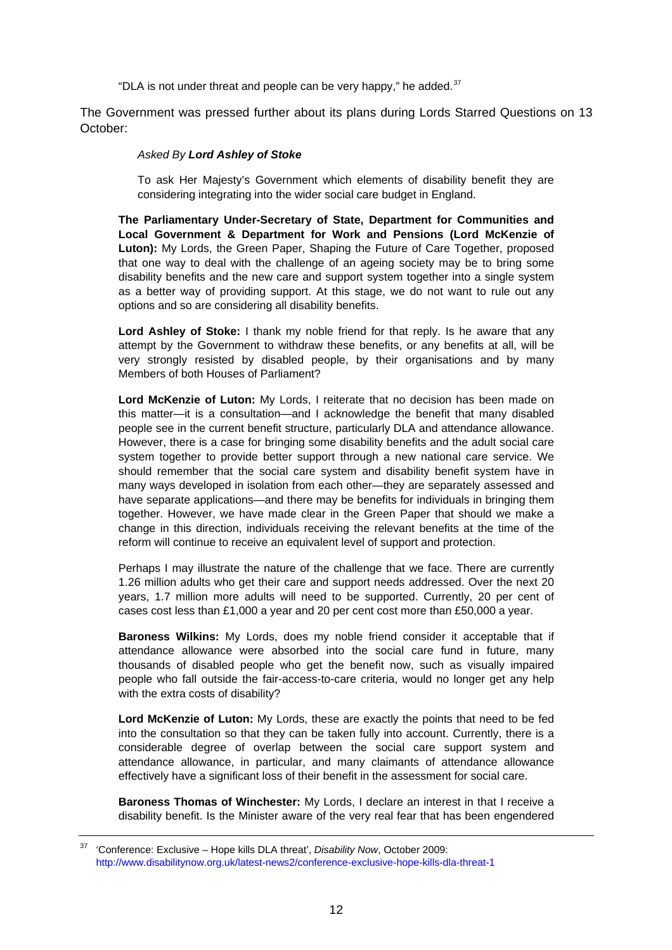"DLA is not under threat and people can be very happy," he added. $37$ 

The Government was pressed further about its plans during Lords Starred Questions on 13 October:

#### *Asked By Lord Ashley of Stoke*

To ask Her Majesty's Government which elements of disability benefit they are considering integrating into the wider social care budget in England.

**The Parliamentary Under-Secretary of State, Department for Communities and Local Government & Department for Work and Pensions (Lord McKenzie of Luton):** My Lords, the Green Paper, Shaping the Future of Care Together, proposed that one way to deal with the challenge of an ageing society may be to bring some disability benefits and the new care and support system together into a single system as a better way of providing support. At this stage, we do not want to rule out any options and so are considering all disability benefits.

**Lord Ashley of Stoke:** I thank my noble friend for that reply. Is he aware that any attempt by the Government to withdraw these benefits, or any benefits at all, will be very strongly resisted by disabled people, by their organisations and by many Members of both Houses of Parliament?

**Lord McKenzie of Luton:** My Lords, I reiterate that no decision has been made on this matter—it is a consultation—and I acknowledge the benefit that many disabled people see in the current benefit structure, particularly DLA and attendance allowance. However, there is a case for bringing some disability benefits and the adult social care system together to provide better support through a new national care service. We should remember that the social care system and disability benefit system have in many ways developed in isolation from each other—they are separately assessed and have separate applications—and there may be benefits for individuals in bringing them together. However, we have made clear in the Green Paper that should we make a change in this direction, individuals receiving the relevant benefits at the time of the reform will continue to receive an equivalent level of support and protection.

Perhaps I may illustrate the nature of the challenge that we face. There are currently 1.26 million adults who get their care and support needs addressed. Over the next 20 years, 1.7 million more adults will need to be supported. Currently, 20 per cent of cases cost less than £1,000 a year and 20 per cent cost more than £50,000 a year.

**Baroness Wilkins:** My Lords, does my noble friend consider it acceptable that if attendance allowance were absorbed into the social care fund in future, many thousands of disabled people who get the benefit now, such as visually impaired people who fall outside the fair-access-to-care criteria, would no longer get any help with the extra costs of disability?

**Lord McKenzie of Luton:** My Lords, these are exactly the points that need to be fed into the consultation so that they can be taken fully into account. Currently, there is a considerable degree of overlap between the social care support system and attendance allowance, in particular, and many claimants of attendance allowance effectively have a significant loss of their benefit in the assessment for social care.

**Baroness Thomas of Winchester:** My Lords, I declare an interest in that I receive a disability benefit. Is the Minister aware of the very real fear that has been engendered

<span id="page-11-0"></span><sup>37 &#</sup>x27;Conference: Exclusive – Hope kills DLA threat', *Disability Now*, October 2009: <http://www.disabilitynow.org.uk/latest-news2/conference-exclusive-hope-kills-dla-threat-1>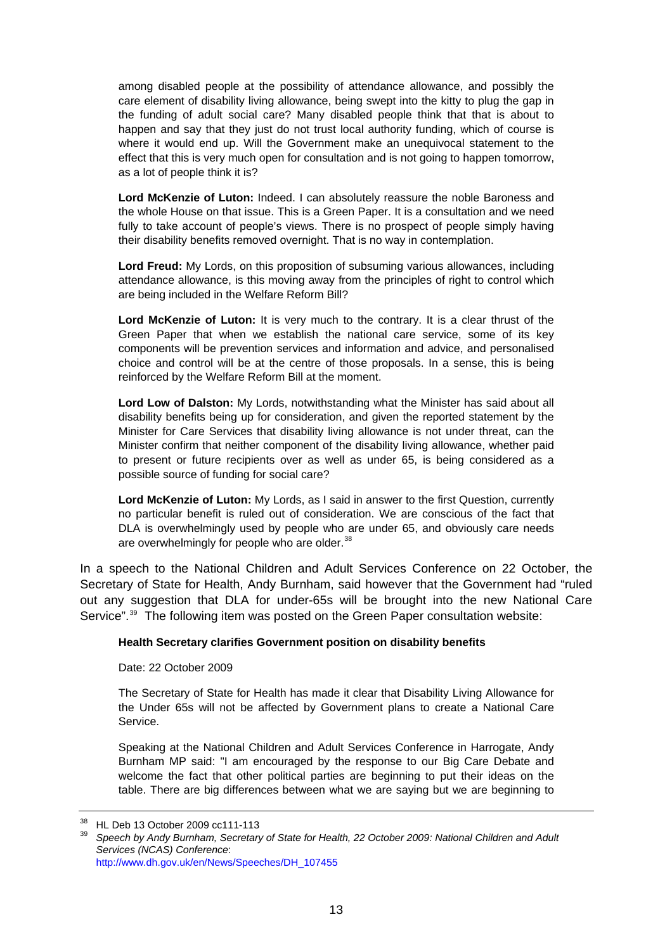among disabled people at the possibility of attendance allowance, and possibly the care element of disability living allowance, being swept into the kitty to plug the gap in the funding of adult social care? Many disabled people think that that is about to happen and say that they just do not trust local authority funding, which of course is where it would end up. Will the Government make an unequivocal statement to the effect that this is very much open for consultation and is not going to happen tomorrow, as a lot of people think it is?

**Lord McKenzie of Luton:** Indeed. I can absolutely reassure the noble Baroness and the whole House on that issue. This is a Green Paper. It is a consultation and we need fully to take account of people's views. There is no prospect of people simply having their disability benefits removed overnight. That is no way in contemplation.

**Lord Freud:** My Lords, on this proposition of subsuming various allowances, including attendance allowance, is this moving away from the principles of right to control which are being included in the Welfare Reform Bill?

**Lord McKenzie of Luton:** It is very much to the contrary. It is a clear thrust of the Green Paper that when we establish the national care service, some of its key components will be prevention services and information and advice, and personalised choice and control will be at the centre of those proposals. In a sense, this is being reinforced by the Welfare Reform Bill at the moment.

**Lord Low of Dalston:** My Lords, notwithstanding what the Minister has said about all disability benefits being up for consideration, and given the reported statement by the Minister for Care Services that disability living allowance is not under threat, can the Minister confirm that neither component of the disability living allowance, whether paid to present or future recipients over as well as under 65, is being considered as a possible source of funding for social care?

**Lord McKenzie of Luton:** My Lords, as I said in answer to the first Question, currently no particular benefit is ruled out of consideration. We are conscious of the fact that DLA is overwhelmingly used by people who are under 65, and obviously care needs are overwhelmingly for people who are older.<sup>[38](#page-12-0)</sup>

In a speech to the National Children and Adult Services Conference on 22 October, the Secretary of State for Health, Andy Burnham, said however that the Government had "ruled out any suggestion that DLA for under-65s will be brought into the new National Care Service".<sup>[39](#page-12-1)</sup> The following item was posted on the Green Paper consultation website:

#### **Health Secretary clarifies Government position on disability benefits**

Date: 22 October 2009

The Secretary of State for Health has made it clear that Disability Living Allowance for the Under 65s will not be affected by Government plans to create a National Care Service.

Speaking at the National Children and Adult Services Conference in Harrogate, Andy Burnham MP said: "I am encouraged by the response to our Big Care Debate and welcome the fact that other political parties are beginning to put their ideas on the table. There are big differences between what we are saying but we are beginning to

<span id="page-12-1"></span><span id="page-12-0"></span><sup>&</sup>lt;sup>38</sup> HL Deb 13 October 2009 cc111-113

<sup>39</sup> *Speech by Andy Burnham, Secretary of State for Health, 22 October 2009: National Children and Adult Services (NCAS) Conference*: [http://www.dh.gov.uk/en/News/Speeches/DH\\_107455](http://www.dh.gov.uk/en/News/Speeches/DH_107455)